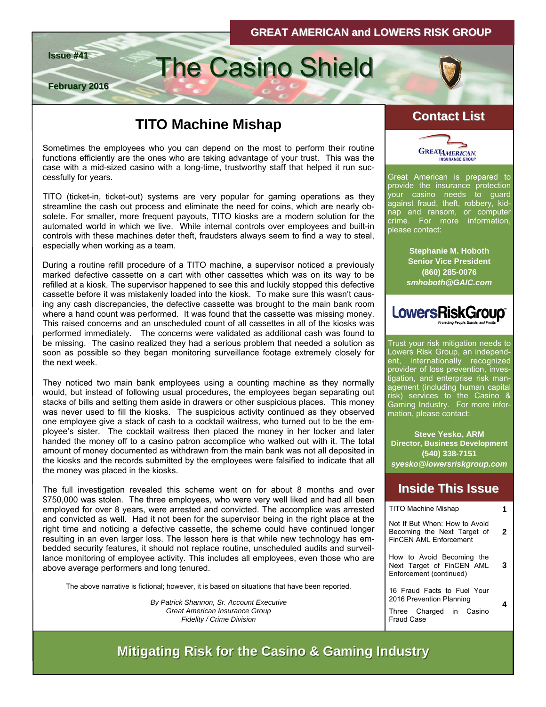



**February 2016**

# **Issue #41** The Casino Shield

# **TITO Machine Mishap Contact List**

Sometimes the employees who you can depend on the most to perform their routine functions efficiently are the ones who are taking advantage of your trust. This was the case with a mid-sized casino with a long-time, trustworthy staff that helped it run successfully for years.

TITO (ticket-in, ticket-out) systems are very popular for gaming operations as they streamline the cash out process and eliminate the need for coins, which are nearly obsolete. For smaller, more frequent payouts, TITO kiosks are a modern solution for the automated world in which we live. While internal controls over employees and built-in controls with these machines deter theft, fraudsters always seem to find a way to steal, especially when working as a team.

During a routine refill procedure of a TITO machine, a supervisor noticed a previously marked defective cassette on a cart with other cassettes which was on its way to be refilled at a kiosk. The supervisor happened to see this and luckily stopped this defective cassette before it was mistakenly loaded into the kiosk. To make sure this wasn't causing any cash discrepancies, the defective cassette was brought to the main bank room where a hand count was performed. It was found that the cassette was missing money. This raised concerns and an unscheduled count of all cassettes in all of the kiosks was performed immediately. The concerns were validated as additional cash was found to be missing. The casino realized they had a serious problem that needed a solution as soon as possible so they began monitoring surveillance footage extremely closely for the next week.

They noticed two main bank employees using a counting machine as they normally would, but instead of following usual procedures, the employees began separating out stacks of bills and setting them aside in drawers or other suspicious places. This money was never used to fill the kiosks. The suspicious activity continued as they observed one employee give a stack of cash to a cocktail waitress, who turned out to be the employee's sister. The cocktail waitress then placed the money in her locker and later handed the money off to a casino patron accomplice who walked out with it. The total amount of money documented as withdrawn from the main bank was not all deposited in the kiosks and the records submitted by the employees were falsified to indicate that all the money was placed in the kiosks.

The full investigation revealed this scheme went on for about 8 months and over \$750,000 was stolen. The three employees, who were very well liked and had all been employed for over 8 years, were arrested and convicted. The accomplice was arrested and convicted as well. Had it not been for the supervisor being in the right place at the right time and noticing a defective cassette, the scheme could have continued longer resulting in an even larger loss. The lesson here is that while new technology has embedded security features, it should not replace routine, unscheduled audits and surveillance monitoring of employee activity. This includes all employees, even those who are above average performers and long tenured.

The above narrative is fictional; however, it is based on situations that have been reported.

*By Patrick Shannon, Sr. Account Executive Great American Insurance Group Fidelity / Crime Division* 



Great American is prepared to provide the insurance protection your casino needs to guard against fraud, theft, robbery, kidnap and ransom, or computer crime. For more information, please contact:

> **Stephanie M. Hoboth Senior Vice President (860) 285-0076**  *smhoboth@GAIC.com*



Trust your risk mitigation needs to Lowers Risk Group, an independent, internationally recognized provider of loss prevention, investigation, and enterprise risk management (including human capital risk) services to the Casino & Gaming Industry. For more information, please contact:

**Steve Yesko, ARM Director, Business Development (540) 338-7151**  *syesko@lowersriskgroup.com* 

### **Inside This Issue Inside This Issue**

| <b>TITO Machine Mishap</b>                                                                    |   |
|-----------------------------------------------------------------------------------------------|---|
| Not If But When: How to Avoid<br>Becoming the Next Target of<br><b>FinCFN AMI Fnforcement</b> | 2 |
| How to Avoid Becoming the<br>Next Target of FinCEN AML<br>Enforcement (continued)             |   |
| 16 Fraud Facts to Fuel Your<br>2016 Prevention Planning                                       |   |
| Three Charged in Casino<br>Fraud Case                                                         |   |

**Mitigating Risk for the Casino & Gaming Industry Mitigating Risk for the Casino & Gaming Industry**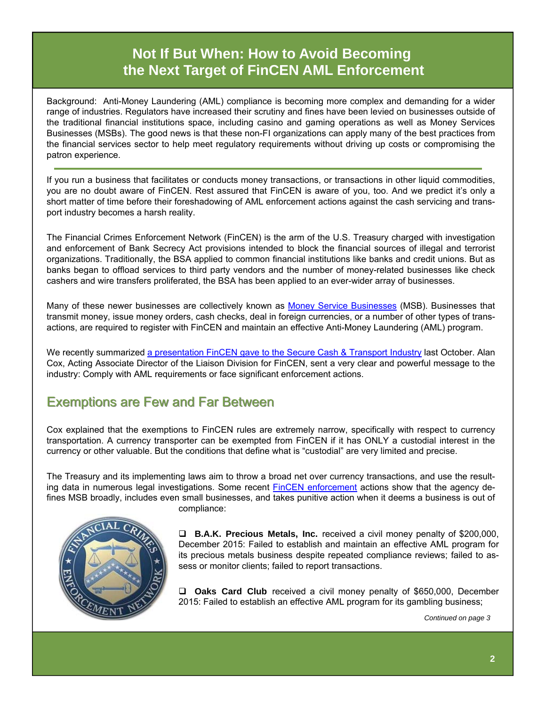# **Not If But When: How to Avoid Becoming the Next Target of FinCEN AML Enforcement**

Background: Anti-Money Laundering (AML) compliance is becoming more complex and demanding for a wider range of industries. Regulators have increased their scrutiny and fines have been levied on businesses outside of the traditional financial institutions space, including casino and gaming operations as well as Money Services Businesses (MSBs). The good news is that these non-FI organizations can apply many of the best practices from the financial services sector to help meet regulatory requirements without driving up costs or compromising the patron experience.

If you run a business that facilitates or conducts money transactions, or transactions in other liquid commodities, you are no doubt aware of FinCEN. Rest assured that FinCEN is aware of you, too. And we predict it's only a short matter of time before their foreshadowing of AML enforcement actions against the cash servicing and transport industry becomes a harsh reality.

The Financial Crimes Enforcement Network (FinCEN) is the arm of the U.S. Treasury charged with investigation and enforcement of Bank Secrecy Act provisions intended to block the financial sources of illegal and terrorist organizations. Traditionally, the BSA applied to common financial institutions like banks and credit unions. But as banks began to offload services to third party vendors and the number of money-related businesses like check cashers and wire transfers proliferated, the BSA has been applied to an ever-wider array of businesses.

Many of these newer businesses are collectively known as [Money Service Businesses](https://www.fincen.gov/financial_institutions/msb/amimsb.html) (MSB). Businesses that transmit money, issue money orders, cash checks, deal in foreign currencies, or a number of other types of transactions, are required to register with FinCEN and maintain an effective Anti-Money Laundering (AML) program.

We recently summarized [a presentation FinCEN gave to the Secure Cash & Transport Industry](http://www.lowersriskgroup.com/blog/2015/10/06/fincen-aml-enforcement/) last October. Alan Cox, Acting Associate Director of the Liaison Division for FinCEN, sent a very clear and powerful message to the industry: Comply with AML requirements or face significant enforcement actions.

# **Exemptions are Few and Far Between**

Cox explained that the exemptions to FinCEN rules are extremely narrow, specifically with respect to currency transportation. A currency transporter can be exempted from FinCEN if it has ONLY a custodial interest in the currency or other valuable. But the conditions that define what is "custodial" are very limited and precise.

The Treasury and its implementing laws aim to throw a broad net over currency transactions, and use the resulting data in numerous legal investigations. Some recent [FinCEN enforcement](https://www.fincen.gov/news_room/ea/ea.msb.html) actions show that the agency defines MSB broadly, includes even small businesses, and takes punitive action when it deems a business is out of compliance:



**B.A.K. Precious Metals, Inc.** received a civil money penalty of \$200,000, December 2015: Failed to establish and maintain an effective AML program for its precious metals business despite repeated compliance reviews; failed to assess or monitor clients; failed to report transactions.

**Oaks Card Club** received a civil money penalty of \$650,000, December 2015: Failed to establish an effective AML program for its gambling business;

*Continued on page 3*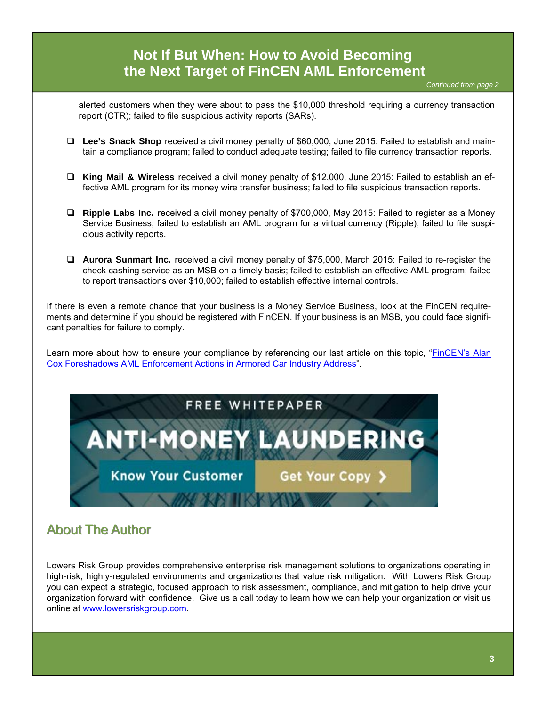# alerted customers when they were about to pass the \$10,000 threshold requiring a currency transaction report (CTR); failed to file suspicious activity reports (SARs). **Lee's Snack Shop** received a civil money penalty of \$60,000, June 2015: Failed to establish and maintain a compliance program; failed to conduct adequate testing; failed to file currency transaction reports. **King Mail & Wireless** received a civil money penalty of \$12,000, June 2015: Failed to establish an effective AML program for its money wire transfer business; failed to file suspicious transaction reports. **Ripple Labs Inc.** received a civil money penalty of \$700,000, May 2015: Failed to register as a Money Service Business; failed to establish an AML program for a virtual currency (Ripple); failed to file suspicious activity reports. *Continued from page 2*  **Not If But When: How to Avoid Becoming the Next Target of FinCEN AML Enforcement**

 **Aurora Sunmart Inc.** received a civil money penalty of \$75,000, March 2015: Failed to re-register the check cashing service as an MSB on a timely basis; failed to establish an effective AML program; failed to report transactions over \$10,000; failed to establish effective internal controls.

If there is even a remote chance that your business is a Money Service Business, look at the FinCEN requirements and determine if you should be registered with FinCEN. If your business is an MSB, you could face significant penalties for failure to comply.

Learn more about how to ensure your compliance by referencing our last article on this topic, "[FinCEN's Alan](http://www.lowersriskgroup.com/blog/2015/10/06/fincen-aml-enforcement/)  [Cox Foreshadows AML Enforcement Actions in Armored Car Industry Address](http://www.lowersriskgroup.com/blog/2015/10/06/fincen-aml-enforcement/)".



# **About The Author**

Lowers Risk Group provides comprehensive enterprise risk management solutions to organizations operating in high-risk, highly-regulated environments and organizations that value risk mitigation. With Lowers Risk Group you can expect a strategic, focused approach to risk assessment, compliance, and mitigation to help drive your organization forward with confidence. Give us a call today to learn how we can help your organization or visit us online at [www.lowersriskgroup.com](http://www.lowersriskgroup.com).